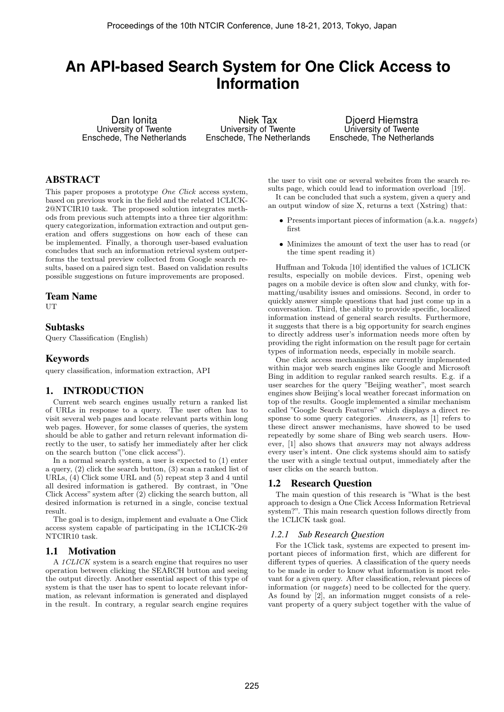# **An API-based Search System for One Click Access to Information**

Dan Ionita University of Twente Enschede, The Netherlands

Niek Tax University of Twente Enschede, The Netherlands

Djoerd Hiemstra University of Twente Enschede, The Netherlands

# ABSTRACT

This paper proposes a prototype *One Click* access system, based on previous work in the field and the related 1CLICK-2@NTCIR10 task. The proposed solution integrates methods from previous such attempts into a three tier algorithm: query categorization, information extraction and output generation and offers suggestions on how each of these can be implemented. Finally, a thorough user-based evaluation concludes that such an information retrieval system outperforms the textual preview collected from Google search results, based on a paired sign test. Based on validation results possible suggestions on future improvements are proposed.

#### Team Name

UT

### Subtasks

Query Classification (English)

# Keywords

query classification, information extraction, API

# 1. INTRODUCTION

Current web search engines usually return a ranked list of URLs in response to a query. The user often has to visit several web pages and locate relevant parts within long web pages. However, for some classes of queries, the system should be able to gather and return relevant information directly to the user, to satisfy her immediately after her click on the search button ("one click access").

In a normal search system, a user is expected to (1) enter a query, (2) click the search button, (3) scan a ranked list of URLs, (4) Click some URL and (5) repeat step 3 and 4 until all desired information is gathered. By contrast, in "One Click Access" system after (2) clicking the search button, all desired information is returned in a single, concise textual result.

The goal is to design, implement and evaluate a One Click access system capable of participating in the 1CLICK-2@ NTCIR10 task.

# 1.1 Motivation

A 1CLICK system is a search engine that requires no user operation between clicking the SEARCH button and seeing the output directly. Another essential aspect of this type of system is that the user has to spent to locate relevant information, as relevant information is generated and displayed in the result. In contrary, a regular search engine requires

the user to visit one or several websites from the search results page, which could lead to information overload [19]. It can be concluded that such a system, given a query and

an output window of size X, returns a text (Xstring) that:

- Presents important pieces of information (a.k.a. *nuggets*) first
- Minimizes the amount of text the user has to read (or the time spent reading it)

Huffman and Tokuda [10] identified the values of 1CLICK results, especially on mobile devices. First, opening web pages on a mobile device is often slow and clunky, with formatting/usability issues and omissions. Second, in order to quickly answer simple questions that had just come up in a conversation. Third, the ability to provide specific, localized information instead of general search results. Furthermore, it suggests that there is a big opportunity for search engines to directly address user's information needs more often by providing the right information on the result page for certain types of information needs, especially in mobile search.

One click access mechanisms are currently implemented within major web search engines like Google and Microsoft Bing in addition to regular ranked search results. E.g. if a user searches for the query "Beijing weather", most search engines show Beijing's local weather forecast information on top of the results. Google implemented a similar mechanism called "Google Search Features" which displays a direct response to some query categories. Answers, as [1] refers to these direct answer mechanisms, have showed to be used repeatedly by some share of Bing web search users. However, [1] also shows that answers may not always address every user's intent. One click systems should aim to satisfy the user with a single textual output, immediately after the user clicks on the search button.

# 1.2 Research Question

The main question of this research is "What is the best approach to design a One Click Access Information Retrieval system?". This main research question follows directly from the 1CLICK task goal.

#### *1.2.1 Sub Research Question*

For the 1Click task, systems are expected to present important pieces of information first, which are different for different types of queries. A classification of the query needs to be made in order to know what information is most relevant for a given query. After classification, relevant pieces of information (or nuggets) need to be collected for the query. As found by [2], an information nugget consists of a relevant property of a query subject together with the value of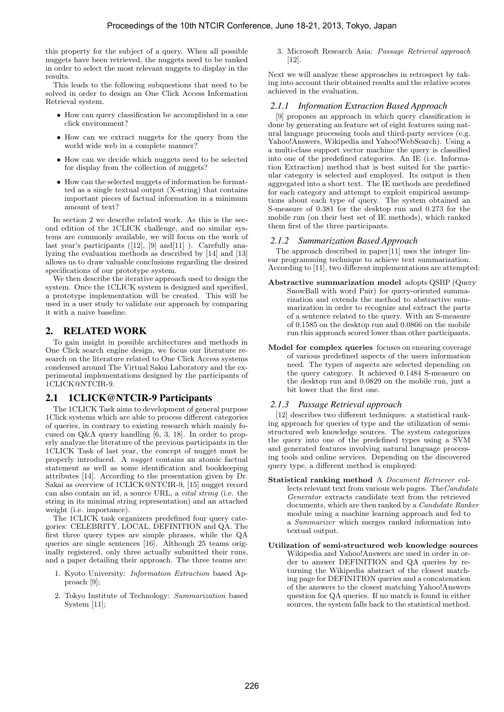this property for the subject of a query. When all possible nuggets have been retrieved, the nuggets need to be ranked in order to select the most relevant nuggets to display in the results.

This leads to the following subquestions that need to be solved in order to design an One Click Access Information Retrieval system.

- How can query classification be accomplished in a one click environment?
- How can we extract nuggets for the query from the world wide web in a complete manner?
- How can we decide which nuggets need to be selected for display from the collection of nuggets?
- How can the selected nuggets of information be formatted as a single textual output (X-string) that contains important pieces of factual information in a minimum amount of text?

In section 2 we describe related work. As this is the second edition of the 1CLICK challenge, and no similar systems are commonly available, we will focus on the work of last year's participants  $([12], [9] \text{ and } [11]$ ). Carefully analyzing the evaluation methods as described by [14] and [13] allows us to draw valuable conclusions regarding the desired specifications of our prototype system.

We then describe the iterative approach used to design the system. Once the 1CLICK system is designed and specified, a prototype implementation will be created. This will be used in a user study to validate our approach by comparing it with a naive baseline.

# 2. RELATED WORK

To gain insight in possible architectures and methods in One Click search engine design, we focus our literature research on the literature related to One Click Access systems condensed around The Virtual Sakai Laboratory and the experimental implementations designed by the participants of 1CLICK@NTCIR-9.

# 2.1 1CLICK@NTCIR-9 Participants

The 1CLICK Task aims to development of general purpose 1Click systems which are able to process different categories of queries, in contrary to existing research which mainly focused on Q&A query handling [6, 3, 18]. In order to properly analyze the literature of the previous participants in the 1CLICK Task of last year, the concept of nugget must be properly introduced. A nugget contains an atomic factual statement as well as some identification and bookkeeping attributes [14]. According to the presentation given by Dr. Sakai as overview of 1CLICK@NTCIR-9, [15] nugget record can also contain an id, a source URL, a vital string (i.e. the string in its minimal string representation) and an attached weight (i.e. importance).

The 1CLICK task organizers predefined four query categories: CELEBRITY, LOCAL, DEFINITION and QA. The first three query types are simple phrases, while the QA queries are single sentences [16]. Although 25 teams originally registered, only three actually submitted their runs, and a paper detailing their approach. The three teams are:

- 1. Kyoto University: Information Extraction based Approach [9];
- 2. Tokyo Institute of Technology: Summarization based System [11];

3. Microsoft Research Asia: Passage Retrieval approach [12].

Next we will analyze these approaches in retrospect by taking into account their obtained results and the relative scores achieved in the evaluation.

# *2.1.1 Information Extraction Based Approach*

[9] proposes an approach in which query classification is done by generating an feature set of eight features using natural language processing tools and third-party services (e.g. Yahoo!Answers, Wikipedia and Yahoo!WebSearch). Using a a multi-class support vector machine the query is classified into one of the predefined categories. An IE (i.e. Information Extraction) method that is best suited for the particular category is selected and employed. Its output is then aggregated into a short text. The IE methods are predefined for each category and attempt to exploit empirical assumptions about each type of query. The system obtained an S-measure of 0.381 for the desktop run and 0.273 for the mobile run (on their best set of IE methods), which ranked them first of the three participants.

# *2.1.2 Summarization Based Approach*

The approach described in paper[11] uses the integer linear programming technique to achieve text summarization. According to [11], two different implementations are attempted:

- Abstractive summarization model adopts QSBP (Query SnowBall with word Pair) for query-oriented summarization and extends the method to abstractive summarization in order to recognize and extract the parts of a sentence related to the query. With an S-measure of 0.1585 on the desktop run and 0.0866 on the mobile run this approach scored lower than other participants.
- Model for complex queries focuses on ensuring coverage of various predefined aspects of the users information need. The types of aspects are selected depending on the query category. It achieved 0.1484 S-measure on the desktop run and 0.0829 on the mobile run, just a bit lower that the first one.

# *2.1.3 Passage Retrieval approach*

[12] describes two different techniques: a statistical ranking approach for queries of type and the utilization of semistructured web knowledge sources. The system categorizes the query into one of the predefined types using a SVM and generated features involving natural language processing tools and online services. Depending on the discovered query type, a different method is employed:

- Statistical ranking method A Document Retriever collects relevant text from various web pages. The Candidate Generator extracts candidate text from the retrieved documents, which are then ranked by a Candidate Ranker module using a machine learning approach and fed to a Summarizer which merges ranked information into textual output.
- Utilization of semi-structured web knowledge sources Wikipedia and Yahoo!Answers are used in order in order to answer DEFINITION and QA queries by returning the Wikipedia abstract of the closest matching page for DEFINITION queries and a concatenation of the answers to the closest matching Yahoo!Answers question for QA queries. If no match is found in either sources, the system falls back to the statistical method.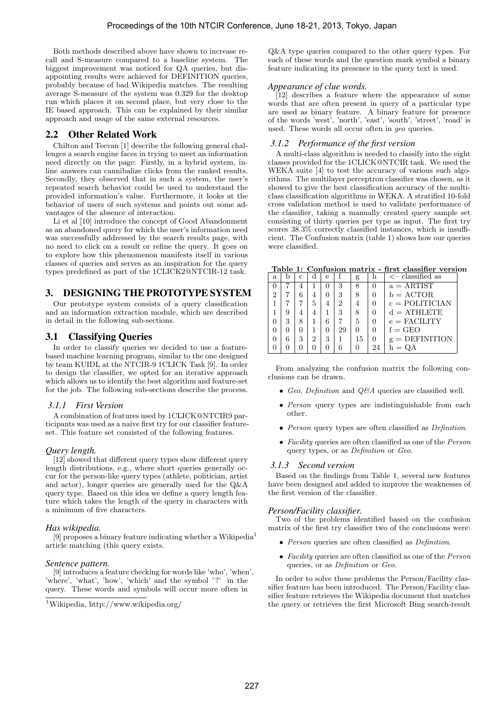Both methods described above have shown to increase recall and S-measure compared to a baseline system. The biggest improvement was noticed for QA queries, but disappointing results were achieved for DEFINITION queries, probably because of bad Wikipedia matches. The resulting average S-measure of the system was 0.329 for the desktop run which places it on second place, but very close to the IE based approach. This can be explained by their similar approach and usage of the same external resources.

# 2.2 Other Related Work

Chilton and Teevan [1] describe the following general challenges a search engine faces in trying to meet an information need directly on the page: Firstly, in a hybrid system, inline answers can cannibalize clicks from the ranked results. Secondly, they observed that in such a system, the user's repeated search behavior could be used to understand the provided information's value. Furthermore, it looks at the behavior of users of such systems and points out some advantages of the absence of interaction.

Li et al [10] introduce the concept of Good Abandonment as an abandoned query for which the user's information need was successfully addressed by the search results page, with no need to click on a result or refine the query. It goes on to explore how this phenomenon manifests itself in various classes of queries and serves as an inspiration for the query types predefined as part of the 1CLICK2@NTCIR-12 task.

# 3. DESIGNING THE PROTOTYPE SYSTEM

Our prototype system consists of a query classification and an information extraction module, which are described in detail in the following sub-sections.

# 3.1 Classifying Queries

In order to classify queries we decided to use a featurebased machine learning program, similar to the one designed by team KUIDL at the NTCIR-9 1CLICK Task [9]. In order to design the classifier, we opted for an iterative approach which allows us to identify the best algorithm and feature-set for the job. The following sub-sections describe the process.

#### *3.1.1 First Version*

A combination of features used by 1CLICK@NTCIR9 participants was used as a naive first try for our classifier featureset. This feature set consisted of the following features.

# *Query length.*

[12] showed that different query types show different query length distributions, e.g., where short queries generally occur for the person-like query types (athlete, politician, artist and actor), longer queries are generally used for the Q&A query type. Based on this idea we define a query length feature which takes the length of the query in characters with a minimum of five characters.

# *Has wikipedia.*

[9] proposes a binary feature indicating whether a Wikipedia<sup>1</sup> article matching (this query exists.

#### *Sentence pattern.*

[9] introduces a feature checking for words like 'who', 'when', 'where', 'what', 'how', 'which' and the symbol '?' in the query. These words and symbols will occur more often in

Q&A type queries compared to the other query types. For each of these words and the question mark symbol a binary feature indicating its presence in the query text is used.

#### *Appearance of clue words.*

[12] describes a feature where the appearance of some words that are often present in query of a particular type are used as binary feature. A binary feature for presence of the words 'west', 'north', 'east', 'south', 'street', 'road' is used. These words all occur often in geo queries.

#### *3.1.2 Performance of the first version*

A multi-class algorithm is needed to classify into the eight classes provided for the 1CLICK@NTCIR task. We used the WEKA suite [4] to test the accuracy of various such algorithms. The multilayer perceptron classifier was chosen, as it showed to give the best classification accuracy of the multiclass classification algorithms in WEKA. A stratified 10-fold cross validation method is used to validate performance of the classifier, taking a manually created query sample set consisting of thirty queries per type as input. The first try scores 38.3% correctly classified instances, which is insufficient. The Confusion matrix (table 1) shows how our queries were classified.

Table 1: Confusion matrix - first classifier version

| a. |   | с | d | e |    | g  |          | $\lt$ - classified as   |
|----|---|---|---|---|----|----|----------|-------------------------|
|    |   |   |   |   | 3  |    |          | $a = ARTIST$            |
|    |   |   | 4 |   | 3  |    |          | $b = ACTOR$             |
|    |   |   | 5 |   | 2  |    |          | $c = \text{POLITICIAN}$ |
|    | 9 |   | 4 |   | 3  |    |          | $d = \text{ATHLETE}$    |
|    | 3 |   |   | 6 |    | 5  |          | $e =$ FACILITY          |
|    |   |   |   |   | 29 |    |          | $f = GEO$               |
|    | 6 | 3 | 2 | 3 |    | 15 | $\theta$ | $g =$ DEFINITION        |
|    |   |   |   |   |    |    | 24       | $h =$                   |

From analyzing the confusion matrix the following conclusions can be drawn.

- Geo, Definition and  $Q\&A$  queries are classified well.
- Person query types are indistinguishable from each other.
- Person query types are often classified as *Definition*.
- Facility queries are often classified as one of the  $Person$ query types, or as Definition or Geo.

#### *3.1.3 Second version*

Based on the findings from Table 1, several new features have been designed and added to improve the weaknesses of the first version of the classifier.

# *Person/Facility classifier.*

Two of the problems identified based on the confusion matrix of the first try classifier two of the conclusions were:

- Person queries are often classified as Definition.
- Facility queries are often classified as one of the Person queries, or as Definition or Geo.

In order to solve these problems the Person/Facility classifier feature has been introduced. The Person/Facility classifier feature retrieves the Wikipedia document that matches the query or retrieves the first Microsoft Bing search-result

<sup>1</sup>Wikipedia, http://www.wikipedia.org/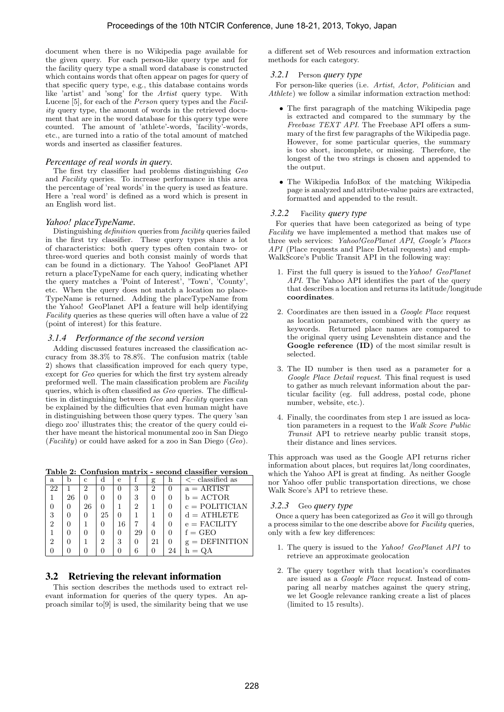document when there is no Wikipedia page available for the given query. For each person-like query type and for the facility query type a small word database is constructed which contains words that often appear on pages for query of that specific query type, e.g., this database contains words like 'artist' and 'song' for the Artist query type. With Lucene [5], for each of the Person query types and the Facility query type, the amount of words in the retrieved document that are in the word database for this query type were counted. The amount of 'athlete'-words, 'facility'-words, etc., are turned into a ratio of the total amount of matched words and inserted as classifier features.

#### *Percentage of real words in query.*

The first try classifier had problems distinguishing Geo and Facility queries. To increase performance in this area the percentage of 'real words' in the query is used as feature. Here a 'real word' is defined as a word which is present in an English word list.

#### *Yahoo! placeTypeName.*

Distinguishing definition queries from facility queries failed in the first try classifier. These query types share a lot of characteristics: both query types often contain two- or three-word queries and both consist mainly of words that can be found in a dictionary. The Yahoo! GeoPlanet API return a placeTypeName for each query, indicating whether the query matches a 'Point of Interest', 'Town', 'County', etc. When the query does not match a location no place-TypeName is returned. Adding the placeTypeName from the Yahoo! GeoPlanet API a feature will help identifying Facility queries as these queries will often have a value of 22 (point of interest) for this feature.

#### *3.1.4 Performance of the second version*

Adding discussed features increased the classification accuracy from 38.3% to 78.8%. The confusion matrix (table 2) shows that classification improved for each query type, except for Geo queries for which the first try system already preformed well. The main classification problem are Facility queries, which is often classified as Geo queries. The difficulties in distinguishing between Geo and Facility queries can be explained by the difficulties that even human might have in distinguishing between those query types. The query 'san diego zoo' illustrates this; the creator of the query could either have meant the historical monumental zoo in San Diego  $(Facility)$  or could have asked for a zoo in San Diego  $(Geo)$ .

Table 2: Confusion matrix - second classifier version

| a  |    | с  |    | e            |    | g  | h  | $\lt$ - classified as   |
|----|----|----|----|--------------|----|----|----|-------------------------|
| 22 |    | 2  |    |              | 3  | 2  | 0  | $a = ARTIST$            |
|    | 26 |    |    |              | 3  |    |    | $b = ACTOR$             |
|    |    | 26 |    |              | 2  |    |    | $c = \text{POLITICIAN}$ |
| 3  |    |    | 25 |              |    |    |    | $d = \text{ATHLETE}$    |
| 2  |    |    |    | 16           |    | 4  |    | $e =$ FACILITY          |
|    |    |    |    | $\mathbf{0}$ | 29 |    | 0  | $f = GEO$               |
| 9  |    |    | 2  | 3            |    | 21 | 0  | $g =$ DEFINITION        |
|    |    |    |    |              |    |    | 24 |                         |

#### 3.2 Retrieving the relevant information

This section describes the methods used to extract relevant information for queries of the query types. An approach similar to[9] is used, the similarity being that we use

a different set of Web resources and information extraction methods for each category.

#### *3.2.1* Person *query type*

For person-like queries (i.e. Artist, Actor, Politician and Athlete) we follow a similar information extraction method:

- The first paragraph of the matching Wikipedia page is extracted and compared to the summary by the Freebase TEXT API. The Freebase API offers a summary of the first few paragraphs of the Wikipedia page. However, for some particular queries, the summary is too short, incomplete, or missing. Therefore, the longest of the two strings is chosen and appended to the output.
- The Wikipedia InfoBox of the matching Wikipedia page is analyzed and attribute-value pairs are extracted, formatted and appended to the result.

#### *3.2.2* Facility *query type*

For queries that have been categorized as being of type Facility we have implemented a method that makes use of three web services: Yahoo!GeoPlanet API, Google's Places API (Place requests and Place Detail requests) and emph-WalkScore's Public Transit API in the following way:

- 1. First the full query is issued to theYahoo! GeoPlanet API. The Yahoo API identifies the part of the query that describes a location and returns its latitude/longitude coordinates.
- 2. Coordinates are then issued in a Google Place request as location parameters, combined with the query as keywords. Returned place names are compared to the original query using Levenshtein distance and the Google reference (ID) of the most similar result is selected.
- 3. The ID number is then used as a parameter for a Google Place Detail request. This final request is used to gather as much relevant information about the particular facility (eg. full address, postal code, phone number, website, etc.).
- 4. Finally, the coordinates from step 1 are issued as location parameters in a request to the Walk Score Public Transit API to retrieve nearby public transit stops, their distance and lines services.

This approach was used as the Google API returns richer information about places, but requires lat/long coordinates, which the Yahoo API is great at finding. As neither Google nor Yahoo offer public transportation directions, we chose Walk Score's API to retrieve these.

#### *3.2.3* Geo *query type*

Once a query has been categorized as Geo it will go through a process similar to the one describe above for Facility queries, only with a few key differences:

- 1. The query is issued to the Yahoo! GeoPlanet API to retrieve an approximate geolocation
- 2. The query together with that location's coordinates are issued as a Google Place request. Instead of comparing all nearby matches against the query string, we let Google relevance ranking create a list of places (limited to 15 results).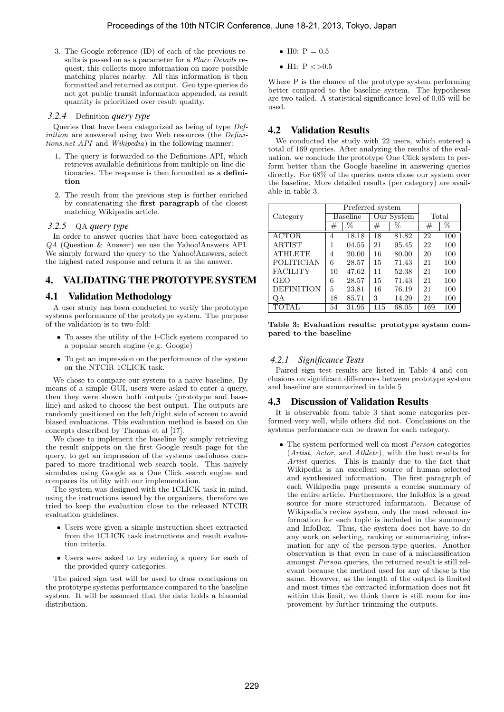3. The Google reference (ID) of each of the previous results is passed on as a parameter for a Place Details request, this collects more information on more possible matching places nearby. All this information is then formatted and returned as output. Geo type queries do not get public transit information appended, as result quantity is prioritized over result quality.

#### *3.2.4* Definition *query type*

Queries that have been categorized as being of type Definition are answered using two Web resources (the Definitions.net API and Wikipedia) in the following manner:

- 1. The query is forwarded to the Definitions API, which retrieves available definitions from multiple on-line dictionaries. The response is then formatted as a definition
- 2. The result from the previous step is further enriched by concatenating the first paragraph of the closest matching Wikipedia article.

### *3.2.5* QA *query type*

In order to answer queries that have been categorized as QA (Question & Answer) we use the Yahoo!Answers API. We simply forward the query to the Yahoo!Answers, select the highest rated response and return it as the answer.

# 4. VALIDATING THE PROTOTYPE SYSTEM

# 4.1 Validation Methodology

A user study has been conducted to verify the prototype systems performance of the prototype system. The purpose of the validation is to two-fold:

- To asses the utility of the 1-Click system compared to a popular search engine (e.g. Google)
- To get an impression on the performance of the system on the NTCIR 1CLICK task.

We chose to compare our system to a naive baseline. By means of a simple GUI, users were asked to enter a query, then they were shown both outputs (prototype and baseline) and asked to choose the best output. The outputs are randomly positioned on the left/right side of screen to avoid biased evaluations. This evaluation method is based on the concepts described by Thomas et al [17].

We chose to implement the baseline by simply retrieving the result snippets on the first Google result page for the query, to get an impression of the systems usefulness compared to more traditional web search tools. This naively simulates using Google as a One Click search engine and compares its utility with our implementation.

The system was designed with the 1CLICK task in mind, using the instructions issued by the organizers, therefore we tried to keep the evaluation close to the released NTCIR evaluation guidelines.

- Users were given a simple instruction sheet extracted from the 1CLICK task instructions and result evaluation criteria.
- Users were asked to try entering a query for each of the provided query categories.

The paired sign test will be used to draw conclusions on the prototype systems performance compared to the baseline system. It will be assumed that the data holds a binomial distribution.

- H0:  $P = 0.5$
- H1:  $P \le 0.5$

Where P is the chance of the prototype system performing better compared to the baseline system. The hypotheses are two-tailed. A statistical significance level of 0.05 will be used.

# 4.2 Validation Results

We conducted the study with 22 users, which entered a total of 169 queries. After analyzing the results of the evaluation, we conclude the prototype One Click system to perform better than the Google baseline in answering queries directly. For 68% of the queries users chose our system over the baseline. More detailed results (per category) are available in table 3.

|                   |          | Preferred system |         |            |         |     |
|-------------------|----------|------------------|---------|------------|---------|-----|
| Category          | Baseline |                  |         | Our System | Total   |     |
|                   | #        | %                | $^{\#}$ | %          | $_{\#}$ | %   |
| <b>ACTOR</b>      | 4        | 18.18            | 18      | 81.82      | 22      | 100 |
| <b>ARTIST</b>     |          | 04.55            | 21      | 95.45      | 22      | 100 |
| <b>ATHLETE</b>    | 4        | 20.00            | 16      | 80.00      | 20      | 100 |
| <b>POLITICIAN</b> | 6        | 28.57            | 15      | 71.43      | 21      | 100 |
| <b>FACILITY</b>   | 10       | 47.62            | 11      | 52.38      | 21      | 100 |
| <b>GEO</b>        | 6        | 28.57            | 15      | 71.43      | 21      | 100 |
| <b>DEFINITION</b> | 5        | 23.81            | 16      | 76.19      | 21      | 100 |
| QA                | 18       | 85.71            | 3       | 14.29      | 21      | 100 |
|                   | 54       | 31.95            | 115     | 68.05      | 169     | 100 |

Table 3: Evaluation results: prototype system compared to the baseline

### *4.2.1 Significance Tests*

Paired sign test results are listed in Table 4 and conclusions on significant differences between prototype system and baseline are summarized in table 5

# 4.3 Discussion of Validation Results

It is observable from table 3 that some categories performed very well, while others did not. Conclusions on the systems performance can be drawn for each category.

• The system performed well on most Person categories (Artist, Actor, and Athlete), with the best results for Artist queries. This is mainly due to the fact that Wikipedia is an excellent source of human selected and synthesized information. The first paragraph of each Wikipedia page presents a concise summary of the entire article. Furthermore, the InfoBox is a great source for more structured information. Because of Wikipedia's review system, only the most relevant information for each topic is included in the summary and InfoBox. Thus, the system does not have to do any work on selecting, ranking or summarizing information for any of the person-type queries. Another observation is that even in case of a misclassification amongst Person queries, the returned result is still relevant because the method used for any of these is the same. However, as the length of the output is limited and most times the extracted information does not fit within this limit, we think there is still room for improvement by further trimming the outputs.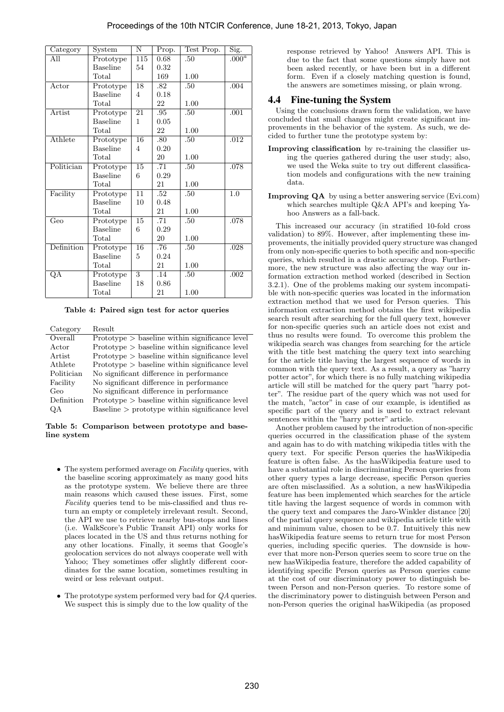| Category                | System                        | N               | Prop. | Test Prop. | $\overline{\mathrm{Sig.}}$ |
|-------------------------|-------------------------------|-----------------|-------|------------|----------------------------|
| All                     | Prototype                     | 115             | 0.68  | .50        | $.000^a$                   |
|                         | <b>Baseline</b>               | 54              | 0.32  |            |                            |
|                         | Total                         |                 | 169   | 1.00       |                            |
| Actor                   | Prototype                     | 18              | .82   | .50        | .004                       |
|                         | <b>Baseline</b>               | 4               | 0.18  |            |                            |
|                         | Total                         |                 | 22    | 1.00       |                            |
| Artist                  | Prototype                     | 21              | .95   | .50        | .001                       |
|                         | <b>Baseline</b>               | 1               | 0.05  |            |                            |
|                         | Total                         |                 | 22    | 1.00       |                            |
| Athlete                 | $\overline{\text{Prototype}}$ | 16              | .80   | .50        | .012                       |
|                         | <b>Baseline</b>               | 4               | 0.20  |            |                            |
|                         | Total                         |                 | 20    | 1.00       |                            |
| Politician              | Prototype                     | 15              | .71   | .50        | .078                       |
|                         | <b>Baseline</b>               | 6               | 0.29  |            |                            |
|                         | Total                         |                 | 21    | 1.00       |                            |
| Facility                | Prototype                     | 11              | .52   | .50        | 1.0                        |
|                         | <b>Baseline</b>               | 10              | 0.48  |            |                            |
|                         | Total                         |                 | 21    | 1.00       |                            |
| $\overline{\text{Geo}}$ | Prototype                     | $\overline{15}$ | .71   | .50        | .078                       |
|                         | <b>Baseline</b>               | 6               | 0.29  |            |                            |
|                         | Total                         |                 | 20    | 1.00       |                            |
| Definition              | Prototype                     | 16              | .76   | .50        | .028                       |
|                         | <b>Baseline</b>               | 5               | 0.24  |            |                            |
|                         | Total                         |                 | 21    | 1.00       |                            |
| QΑ                      | Prototype                     | $\overline{3}$  | .14   | .50        | .002                       |
|                         | <b>Baseline</b>               | 18              | 0.86  |            |                            |
|                         | $_{\rm Total}$                |                 | 21    | 1.00       |                            |

Table 4: Paired sign test for actor queries

| Category   | Result                                           |
|------------|--------------------------------------------------|
| Overall    | $Prototype > baseline$ within significance level |
| Actor      | $Prototype > baseline$ within significance level |
| Artist     | $Prototype > baseline$ within significance level |
| Athlete    | $Prototype > baseline$ within significance level |
| Politician | No significant difference in performance         |
| Facility   | No significant difference in performance         |
| Geo        | No significant difference in performance         |
| Definition | $Prototype > baseline$ within significance level |
| OΑ         | $Baseline$ > prototype within significance level |

Table 5: Comparison between prototype and baseline system

- The system performed average on  $Facility$  queries, with the baseline scoring approximately as many good hits as the prototype system. We believe there are three main reasons which caused these issues. First, some Facility queries tend to be mis-classified and thus return an empty or completely irrelevant result. Second, the API we use to retrieve nearby bus-stops and lines (i.e. WalkScore's Public Transit API) only works for places located in the US and thus returns nothing for any other locations. Finally, it seems that Google's geolocation services do not always cooperate well with Yahoo; They sometimes offer slightly different coordinates for the same location, sometimes resulting in weird or less relevant output.
- The prototype system performed very bad for QA queries. We suspect this is simply due to the low quality of the

response retrieved by Yahoo! Answers API. This is due to the fact that some questions simply have not been asked recently, or have been but in a different form. Even if a closely matching question is found, the answers are sometimes missing, or plain wrong.

# 4.4 Fine-tuning the System

Using the conclusions drawn form the validation, we have concluded that small changes might create significant improvements in the behavior of the system. As such, we decided to further tune the prototype system by:

- Improving classification by re-training the classifier using the queries gathered during the user study; also, we used the Weka suite to try out different classification models and configurations with the new training data.
- Improving QA by using a better answering service (Evi.com) which searches multiple Q&A API's and keeping Yahoo Answers as a fall-back.

This increased our accuracy (in stratified 10-fold cross validation) to 89%. However, after implementing these improvements, the initially provided query structure was changed from only non-specific queries to both specific and non-specific queries, which resulted in a drastic accuracy drop. Furthermore, the new structure was also affecting the way our information extraction method worked (described in Section 3.2.1). One of the problems making our system incompatible with non-specific queries was located in the information extraction method that we used for Person queries. This information extraction method obtains the first wikipedia search result after searching for the full query text, however for non-specific queries such an article does not exist and thus no results were found. To overcome this problem the wikipedia search was changes from searching for the article with the title best matching the query text into searching for the article title having the largest sequence of words in common with the query text. As a result, a query as "harry potter actor", for which there is no fully matching wikipedia article will still be matched for the query part "harry potter". The residue part of the query which was not used for the match, "actor" in case of our example, is identified as specific part of the query and is used to extract relevant sentences within the "harry potter" article.

Another problem caused by the introduction of non-specific queries occurred in the classification phase of the system and again has to do with matching wikipedia titles with the query text. For specific Person queries the hasWikipedia feature is often false. As the hasWikipedia feature used to have a substantial role in discriminating Person queries from other query types a large decrease, specific Person queries are often misclassified. As a solution, a new hasWikipedia feature has been implemented which searches for the article title having the largest sequence of words in common with the query text and compares the Jaro-Winkler distance [20] of the partial query sequence and wikipedia article title with and minimum value, chosen to be 0.7. Intuitively this new hasWikipedia feature seems to return true for most Person queries, including specific queries. The downside is however that more non-Person queries seem to score true on the new hasWikipedia feature, therefore the added capability of identifying specific Person queries as Person queries came at the cost of our discriminatory power to distinguish between Person and non-Person queries. To restore some of the discriminatory power to distinguish between Person and non-Person queries the original hasWikipedia (as proposed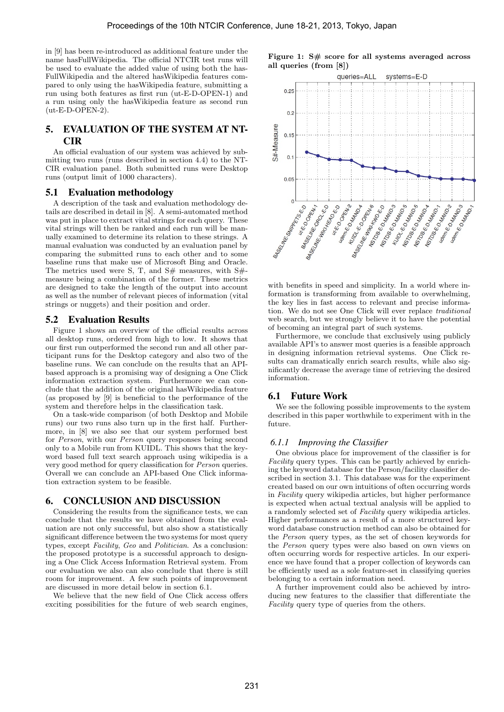in [9] has been re-introduced as additional feature under the name hasFullWikipedia. The official NTCIR test runs will be used to evaluate the added value of using both the has-FullWikipedia and the altered hasWikipedia features compared to only using the hasWikipedia feature, submitting a run using both features as first run (ut-E-D-OPEN-1) and a run using only the hasWikipedia feature as second run (ut-E-D-OPEN-2).

# 5. EVALUATION OF THE SYSTEM AT NT-CIR

An official evaluation of our system was achieved by submitting two runs (runs described in section 4.4) to the NT-CIR evaluation panel. Both submitted runs were Desktop runs (output limit of 1000 characters).

#### 5.1 Evaluation methodology

A description of the task and evaluation methodology details are described in detail in [8]. A semi-automated method was put in place to extract vital strings for each query. These vital strings will then be ranked and each run will be manually examined to determine its relation to these strings. A manual evaluation was conducted by an evaluation panel by comparing the submitted runs to each other and to some baseline runs that make use of Microsoft Bing and Oracle. The metrics used were S, T, and  $S#$  measures, with  $S#$ measure being a combination of the former. These metrics are designed to take the length of the output into account as well as the number of relevant pieces of information (vital strings or nuggets) and their position and order.

#### 5.2 Evaluation Results

Figure 1 shows an overview of the official results across all desktop runs, ordered from high to low. It shows that our first run outperformed the second run and all other participant runs for the Desktop category and also two of the baseline runs. We can conclude on the results that an APIbased approach is a promising way of designing a One Click information extraction system. Furthermore we can conclude that the addition of the original hasWikipedia feature (as proposed by [9] is beneficial to the performance of the system and therefore helps in the classification task.

On a task-wide comparison (of both Desktop and Mobile runs) our two runs also turn up in the first half. Furthermore, in [8] we also see that our system performed best for Person, with our Person query responses being second only to a Mobile run from KUIDL. This shows that the keyword based full text search approach using wikipedia is a very good method for query classification for Person queries. Overall we can conclude an API-based One Click information extraction system to be feasible.

### 6. CONCLUSION AND DISCUSSION

Considering the results from the significance tests, we can conclude that the results we have obtained from the evaluation are not only successful, but also show a statistically significant difference between the two systems for most query types, except Facility, Geo and Politician. As a conclusion: the proposed prototype is a successful approach to designing a One Click Access Information Retrieval system. From our evaluation we also can also conclude that there is still room for improvement. A few such points of improvement are discussed in more detail below in section 6.1.

We believe that the new field of One Click access offers exciting possibilities for the future of web search engines,





with benefits in speed and simplicity. In a world where information is transforming from available to overwhelming, the key lies in fast access to relevant and precise information. We do not see One Click will ever replace traditional web search, but we strongly believe it to have the potential of becoming an integral part of such systems.

Furthermore, we conclude that exclusively using publicly available API's to answer most queries is a feasible approach in designing information retrieval systems. One Click results can dramatically enrich search results, while also significantly decrease the average time of retrieving the desired information.

### 6.1 Future Work

We see the following possible improvements to the system described in this paper worthwhile to experiment with in the future.

#### *6.1.1 Improving the Classifier*

One obvious place for improvement of the classifier is for Facility query types. This can be partly achieved by enriching the keyword database for the Person/facility classifier described in section 3.1. This database was for the experiment created based on our own intuitions of often occurring words in Facility query wikipedia articles, but higher performance is expected when actual textual analysis will be applied to a randomly selected set of Facility query wikipedia articles. Higher performances as a result of a more structured keyword database construction method can also be obtained for the Person query types, as the set of chosen keywords for the Person query types were also based on own views on often occurring words for respective articles. In our experience we have found that a proper collection of keywords can be efficiently used as a sole feature-set in classifying queries belonging to a certain information need.

A further improvement could also be achieved by introducing new features to the classifier that differentiate the Facility query type of queries from the others.